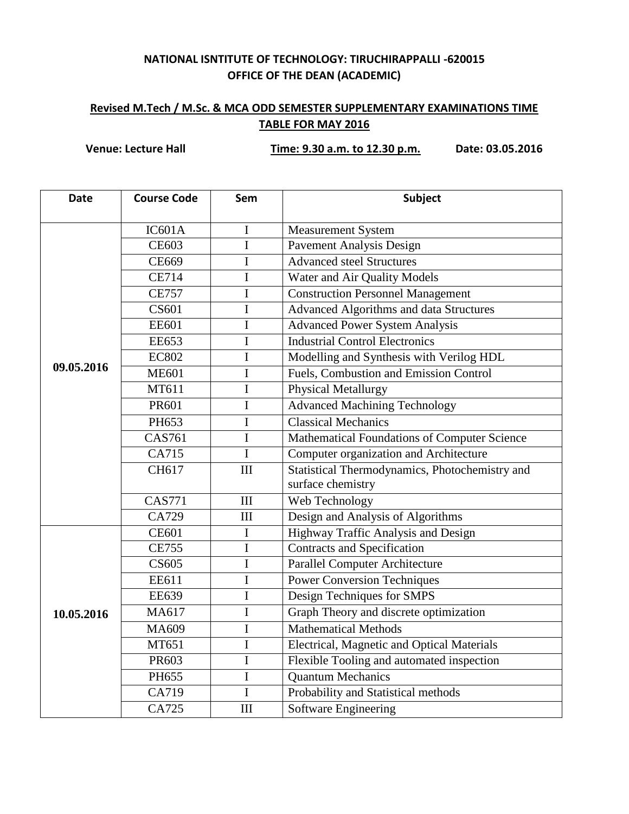## **NATIONAL ISNTITUTE OF TECHNOLOGY: TIRUCHIRAPPALLI -620015 OFFICE OF THE DEAN (ACADEMIC)**

## **Revised M.Tech / M.Sc. & MCA ODD SEMESTER SUPPLEMENTARY EXAMINATIONS TIME TABLE FOR MAY 2016**

**Venue: Lecture Hall Time: 9.30 a.m. to 12.30 p.m. Date: 03.05.2016**

| <b>Date</b> | <b>Course Code</b> | Sem            | <b>Subject</b>                                 |
|-------------|--------------------|----------------|------------------------------------------------|
|             | IC601A             | $\mathbf I$    | <b>Measurement System</b>                      |
|             | <b>CE603</b>       | $\mathbf I$    | <b>Pavement Analysis Design</b>                |
|             | CE669              | $\mathbf I$    | Advanced steel Structures                      |
|             | <b>CE714</b>       | $\mathbf I$    | Water and Air Quality Models                   |
| 09.05.2016  | <b>CE757</b>       | $\mathbf I$    | <b>Construction Personnel Management</b>       |
|             | CS601              | $\mathbf{I}$   | Advanced Algorithms and data Structures        |
|             | <b>EE601</b>       | $\mathbf I$    | <b>Advanced Power System Analysis</b>          |
|             | <b>EE653</b>       | $\mathbf I$    | <b>Industrial Control Electronics</b>          |
|             | <b>EC802</b>       | $\mathbf I$    | Modelling and Synthesis with Verilog HDL       |
|             | <b>ME601</b>       | $\mathbf I$    | <b>Fuels, Combustion and Emission Control</b>  |
|             | MT611              | $\mathbf I$    | <b>Physical Metallurgy</b>                     |
|             | PR601              | $\mathbf I$    | <b>Advanced Machining Technology</b>           |
|             | PH653              | $\mathbf I$    | <b>Classical Mechanics</b>                     |
|             | <b>CAS761</b>      | $\mathbf I$    | Mathematical Foundations of Computer Science   |
|             | CA715              | $\mathbf I$    | Computer organization and Architecture         |
|             | CH617              | III            | Statistical Thermodynamics, Photochemistry and |
|             |                    |                | surface chemistry                              |
|             | <b>CAS771</b>      | III            | Web Technology                                 |
|             | CA729              | III            | Design and Analysis of Algorithms              |
|             | <b>CE601</b>       | $\mathbf I$    | Highway Traffic Analysis and Design            |
|             | <b>CE755</b>       | $\mathbf I$    | <b>Contracts and Specification</b>             |
|             | CS605              | $\overline{I}$ | <b>Parallel Computer Architecture</b>          |
|             | EE611              | $\mathbf I$    | <b>Power Conversion Techniques</b>             |
|             | <b>EE639</b>       | $\mathbf I$    | Design Techniques for SMPS                     |
| 10.05.2016  | MA617              | I              | Graph Theory and discrete optimization         |
|             | MA609              | $\mathbf I$    | <b>Mathematical Methods</b>                    |
|             | MT651              | $\mathbf I$    | Electrical, Magnetic and Optical Materials     |
|             | PR603              | $\mathbf I$    | Flexible Tooling and automated inspection      |
|             | PH655              | $\mathbf I$    | <b>Quantum Mechanics</b>                       |
|             | CA719              | $\mathbf I$    | Probability and Statistical methods            |
|             | CA725              | III            | <b>Software Engineering</b>                    |